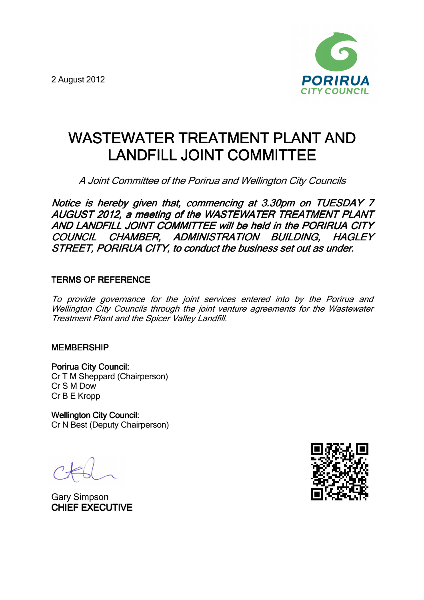2 August 2012



# WASTEWATER TREATMENT PLANT AND LANDFILL JOINT COMMITTEE

A Joint Committee of the Porirua and Wellington City Councils

Notice is hereby given that, commencing at 3.30pm on TUESDAY 7 AUGUST 2012, a meeting of the WASTEWATER TREATMENT PLANT AND LANDFILL JOINT COMMITTEE will be held in the PORIRUA CITY COUNCIL CHAMBER, ADMINISTRATION BUILDING, HAGLEY STREET, PORIRUA CITY, to conduct the business set out as under.

## **TERMS OF REFERENCE**

To provide governance for the joint services entered into by the Porirua and Wellington City Councils through the joint venture agreements for the Wastewater Treatment Plant and the Spicer Valley Landfill.

### **MEMBERSHIP**

Porirua City Council: Cr T M Sheppard (Chairperson) Cr S M Dow Cr B E Kropp

Wellington City Council: Cr N Best (Deputy Chairperson)

Gary Simpson **CHIEF EXECUTIVE** 

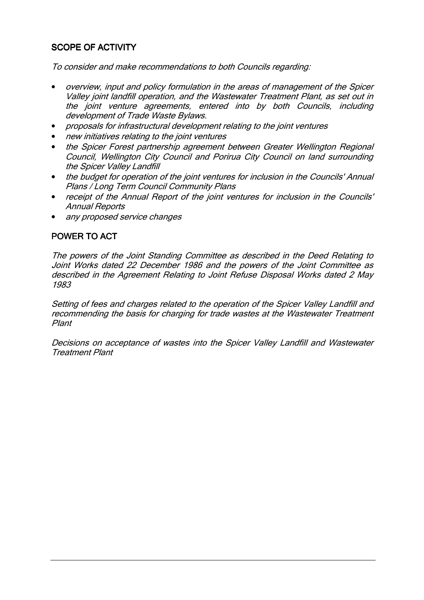# **SCOPE OF ACTIVITY**

To consider and make recommendations to both Councils regarding:

- overview, input and policy formulation in the areas of management of the Spicer Valley joint landfill operation, and the Wastewater Treatment Plant, as set out in the joint venture agreements, entered into by both Councils, including development of Trade Waste Bylaws.
- proposals for infrastructural development relating to the joint ventures
- new initiatives relating to the joint ventures
- the Spicer Forest partnership agreement between Greater Wellington Regional Council, Wellington City Council and Porirua City Council on land surrounding the Spicer Valley Landfill
- the budget for operation of the joint ventures for inclusion in the Councils' Annual Plans / Long Term Council Community Plans
- receipt of the Annual Report of the joint ventures for inclusion in the Councils' Annual Reports
- any proposed service changes

## POWER TO ACT

The powers of the Joint Standing Committee as described in the Deed Relating to Joint Works dated 22 December 1986 and the powers of the Joint Committee as described in the Agreement Relating to Joint Refuse Disposal Works dated 2 May 1983

Setting of fees and charges related to the operation of the Spicer Valley Landfill and recommending the basis for charging for trade wastes at the Wastewater Treatment Plant

Decisions on acceptance of wastes into the Spicer Valley Landfill and Wastewater Treatment Plant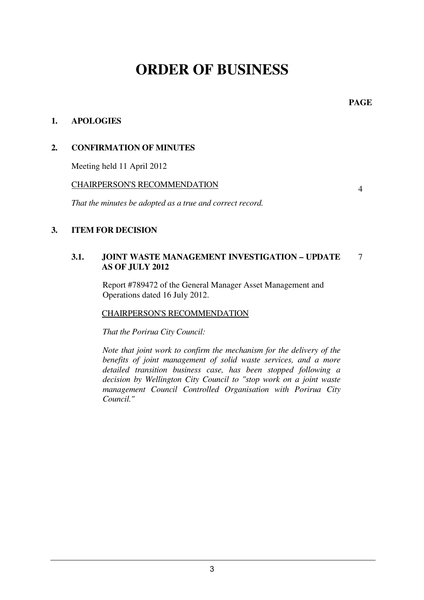# **ORDER OF BUSINESS**

**PAGE** 

## **1. APOLOGIES**

## **2. CONFIRMATION OF MINUTES**

Meeting held 11 April 2012

#### CHAIRPERSON'S RECOMMENDATION

*That the minutes be adopted as a true and correct record.* 

## 4

### **3. ITEM FOR DECISION**

#### **3.1. JOINT WASTE MANAGEMENT INVESTIGATION – UPDATE AS OF JULY 2012**  7

 Report #789472 of the General Manager Asset Management and Operations dated 16 July 2012.

### CHAIRPERSON'S RECOMMENDATION

*That the Porirua City Council:* 

*Note that joint work to confirm the mechanism for the delivery of the benefits of joint management of solid waste services, and a more detailed transition business case, has been stopped following a decision by Wellington City Council to "stop work on a joint waste management Council Controlled Organisation with Porirua City Council."*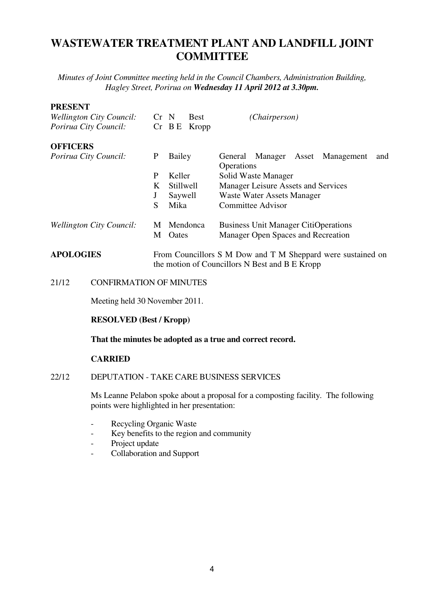# **WASTEWATER TREATMENT PLANT AND LANDFILL JOINT COMMITTEE**

*Minutes of Joint Committee meeting held in the Council Chambers, Administration Building, Hagley Street, Porirua on Wednesday 11 April 2012 at 3.30pm.*

#### **PRESENT**

| <b>Wellington City Council:</b><br>Porirua City Council: | $Cr$ N | <b>Best</b><br>$Cr$ B E<br>Kropp                                                                              | (Chairperson)                                         |  |  |
|----------------------------------------------------------|--------|---------------------------------------------------------------------------------------------------------------|-------------------------------------------------------|--|--|
| <b>OFFICERS</b>                                          |        |                                                                                                               |                                                       |  |  |
| Porirua City Council:                                    | P      | Bailey                                                                                                        | General Manager Asset Management<br>and<br>Operations |  |  |
|                                                          | P      | Keller                                                                                                        | Solid Waste Manager                                   |  |  |
|                                                          | K      | Stillwell                                                                                                     | Manager Leisure Assets and Services                   |  |  |
|                                                          | J      | Saywell                                                                                                       | Waste Water Assets Manager                            |  |  |
|                                                          | S      | Mika                                                                                                          | <b>Committee Advisor</b>                              |  |  |
| <b>Wellington City Council:</b>                          | M      | Mendonca                                                                                                      | <b>Business Unit Manager CitiOperations</b>           |  |  |
|                                                          | М      | Oates                                                                                                         | Manager Open Spaces and Recreation                    |  |  |
| <b>APOLOGIES</b>                                         |        | From Councillors S M Dow and T M Sheppard were sustained on<br>the motion of Councillors N Best and B E Kropp |                                                       |  |  |

21/12 CONFIRMATION OF MINUTES

Meeting held 30 November 2011.

#### **RESOLVED (Best / Kropp)**

**That the minutes be adopted as a true and correct record.** 

#### **CARRIED**

#### 22/12 DEPUTATION - TAKE CARE BUSINESS SERVICES

Ms Leanne Pelabon spoke about a proposal for a composting facility. The following points were highlighted in her presentation:

- Recycling Organic Waste
- Key benefits to the region and community
- Project update
- Collaboration and Support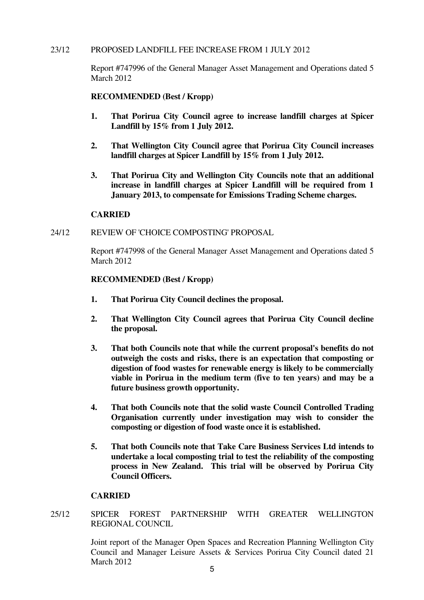#### 23/12 PROPOSED LANDFILL FEE INCREASE FROM 1 JULY 2012

Report #747996 of the General Manager Asset Management and Operations dated 5 March 2012

#### **RECOMMENDED (Best / Kropp)**

- **1. That Porirua City Council agree to increase landfill charges at Spicer Landfill by 15% from 1 July 2012.**
- **2. That Wellington City Council agree that Porirua City Council increases landfill charges at Spicer Landfill by 15% from 1 July 2012.**
- **3. That Porirua City and Wellington City Councils note that an additional increase in landfill charges at Spicer Landfill will be required from 1 January 2013, to compensate for Emissions Trading Scheme charges.**

#### **CARRIED**

#### 24/12 REVIEW OF 'CHOICE COMPOSTING' PROPOSAL

Report #747998 of the General Manager Asset Management and Operations dated 5 March 2012

#### **RECOMMENDED (Best / Kropp)**

- **1. That Porirua City Council declines the proposal.**
- **2. That Wellington City Council agrees that Porirua City Council decline the proposal.**
- **3. That both Councils note that while the current proposal's benefits do not outweigh the costs and risks, there is an expectation that composting or digestion of food wastes for renewable energy is likely to be commercially viable in Porirua in the medium term (five to ten years) and may be a future business growth opportunity.**
- **4. That both Councils note that the solid waste Council Controlled Trading Organisation currently under investigation may wish to consider the composting or digestion of food waste once it is established.**
- **5. That both Councils note that Take Care Business Services Ltd intends to undertake a local composting trial to test the reliability of the composting process in New Zealand. This trial will be observed by Porirua City Council Officers.**

#### **CARRIED**

25/12 SPICER FOREST PARTNERSHIP WITH GREATER WELLINGTON REGIONAL COUNCIL

> Joint report of the Manager Open Spaces and Recreation Planning Wellington City Council and Manager Leisure Assets & Services Porirua City Council dated 21 March 2012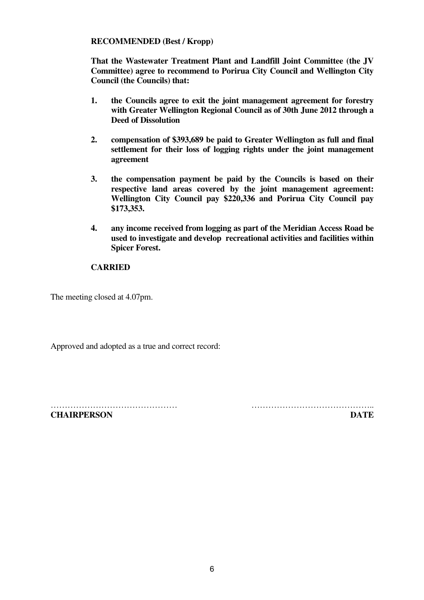#### **RECOMMENDED (Best / Kropp)**

**That the Wastewater Treatment Plant and Landfill Joint Committee (the JV Committee) agree to recommend to Porirua City Council and Wellington City Council (the Councils) that:** 

- **1. the Councils agree to exit the joint management agreement for forestry with Greater Wellington Regional Council as of 30th June 2012 through a Deed of Dissolution**
- **2. compensation of \$393,689 be paid to Greater Wellington as full and final settlement for their loss of logging rights under the joint management agreement**
- **3. the compensation payment be paid by the Councils is based on their respective land areas covered by the joint management agreement: Wellington City Council pay \$220,336 and Porirua City Council pay \$173,353.**
- **4. any income received from logging as part of the Meridian Access Road be used to investigate and develop recreational activities and facilities within Spicer Forest.**

#### **CARRIED**

The meeting closed at 4.07pm.

Approved and adopted as a true and correct record:

……………………………………… …………………………………….. **CHAIRPERSON DATE**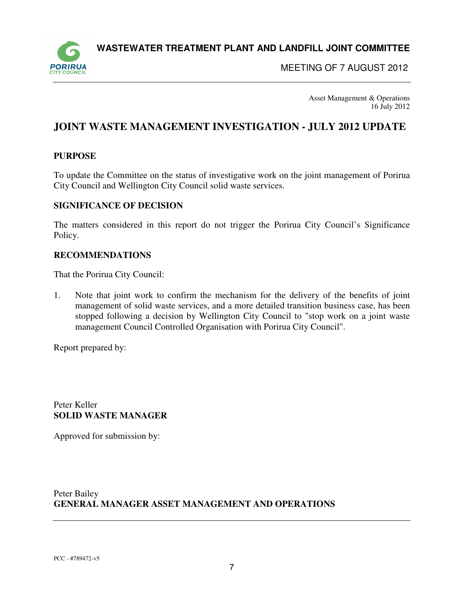**WASTEWATER TREATMENT PLANT AND LANDFILL JOINT COMMITTEE** 



MEETING OF 7 AUGUST 2012

Asset Management & Operations 16 July 2012

# **JOINT WASTE MANAGEMENT INVESTIGATION - JULY 2012 UPDATE**

#### **PURPOSE**

To update the Committee on the status of investigative work on the joint management of Porirua City Council and Wellington City Council solid waste services.

#### **SIGNIFICANCE OF DECISION**

The matters considered in this report do not trigger the Porirua City Council's Significance Policy.

#### **RECOMMENDATIONS**

That the Porirua City Council:

1. Note that joint work to confirm the mechanism for the delivery of the benefits of joint management of solid waste services, and a more detailed transition business case, has been stopped following a decision by Wellington City Council to "stop work on a joint waste management Council Controlled Organisation with Porirua City Council".

Report prepared by:

Peter Keller **SOLID WASTE MANAGER** 

Approved for submission by:

Peter Bailey **GENERAL MANAGER ASSET MANAGEMENT AND OPERATIONS**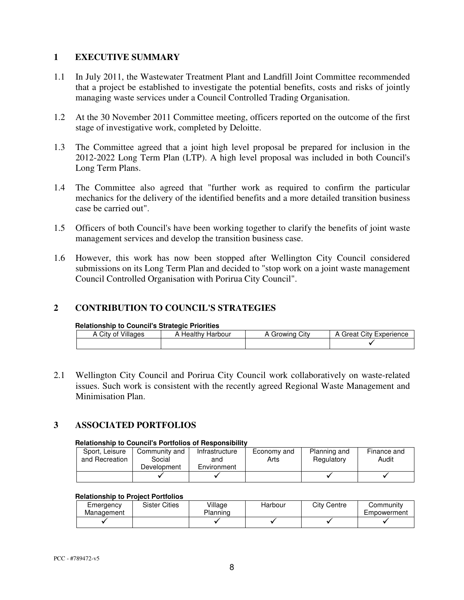#### **1 EXECUTIVE SUMMARY**

- 1.1 In July 2011, the Wastewater Treatment Plant and Landfill Joint Committee recommended that a project be established to investigate the potential benefits, costs and risks of jointly managing waste services under a Council Controlled Trading Organisation.
- 1.2 At the 30 November 2011 Committee meeting, officers reported on the outcome of the first stage of investigative work, completed by Deloitte.
- 1.3 The Committee agreed that a joint high level proposal be prepared for inclusion in the 2012-2022 Long Term Plan (LTP). A high level proposal was included in both Council's Long Term Plans.
- 1.4 The Committee also agreed that "further work as required to confirm the particular mechanics for the delivery of the identified benefits and a more detailed transition business case be carried out".
- 1.5 Officers of both Council's have been working together to clarify the benefits of joint waste management services and develop the transition business case.
- 1.6 However, this work has now been stopped after Wellington City Council considered submissions on its Long Term Plan and decided to "stop work on a joint waste management Council Controlled Organisation with Porirua City Council".

#### **2 CONTRIBUTION TO COUNCIL'S STRATEGIES**

#### **Relationship to Council's Strategic Priorities**

| City<br>0t<br>А | Villages | Harbour<br>Healthy | City<br>Growing | Experience<br>City<br>Great |
|-----------------|----------|--------------------|-----------------|-----------------------------|
|                 |          |                    |                 |                             |

2.1 Wellington City Council and Porirua City Council work collaboratively on waste-related issues. Such work is consistent with the recently agreed Regional Waste Management and Minimisation Plan.

### **3 ASSOCIATED PORTFOLIOS**

#### **Relationship to Council's Portfolios of Responsibility**

| Sport, Leisure<br>and Recreation | Community and<br>Social<br>Development | Infrastructure<br>and<br>Environment | Economy and<br>Arts | Planning and<br>Regulatory | Finance and<br>Audit |
|----------------------------------|----------------------------------------|--------------------------------------|---------------------|----------------------------|----------------------|
|                                  |                                        |                                      |                     |                            |                      |

#### **Relationship to Project Portfolios**

| Emergency<br>Management | <b>Sister Cities</b> | Village<br>Planning | Harbour | City Centre | Communitv<br>Empowerment |
|-------------------------|----------------------|---------------------|---------|-------------|--------------------------|
|                         |                      |                     |         |             |                          |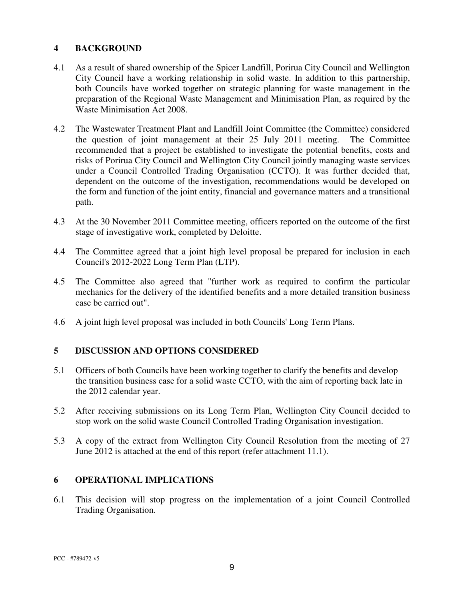#### **4 BACKGROUND**

- 4.1 As a result of shared ownership of the Spicer Landfill, Porirua City Council and Wellington City Council have a working relationship in solid waste. In addition to this partnership, both Councils have worked together on strategic planning for waste management in the preparation of the Regional Waste Management and Minimisation Plan, as required by the Waste Minimisation Act 2008.
- 4.2 The Wastewater Treatment Plant and Landfill Joint Committee (the Committee) considered the question of joint management at their 25 July 2011 meeting. The Committee recommended that a project be established to investigate the potential benefits, costs and risks of Porirua City Council and Wellington City Council jointly managing waste services under a Council Controlled Trading Organisation (CCTO). It was further decided that, dependent on the outcome of the investigation, recommendations would be developed on the form and function of the joint entity, financial and governance matters and a transitional path.
- 4.3 At the 30 November 2011 Committee meeting, officers reported on the outcome of the first stage of investigative work, completed by Deloitte.
- 4.4 The Committee agreed that a joint high level proposal be prepared for inclusion in each Council's 2012-2022 Long Term Plan (LTP).
- 4.5 The Committee also agreed that "further work as required to confirm the particular mechanics for the delivery of the identified benefits and a more detailed transition business case be carried out".
- 4.6 A joint high level proposal was included in both Councils' Long Term Plans.

### **5 DISCUSSION AND OPTIONS CONSIDERED**

- 5.1 Officers of both Councils have been working together to clarify the benefits and develop the transition business case for a solid waste CCTO, with the aim of reporting back late in the 2012 calendar year.
- 5.2 After receiving submissions on its Long Term Plan, Wellington City Council decided to stop work on the solid waste Council Controlled Trading Organisation investigation.
- 5.3 A copy of the extract from Wellington City Council Resolution from the meeting of 27 June 2012 is attached at the end of this report (refer attachment 11.1).

#### **6 OPERATIONAL IMPLICATIONS**

6.1 This decision will stop progress on the implementation of a joint Council Controlled Trading Organisation.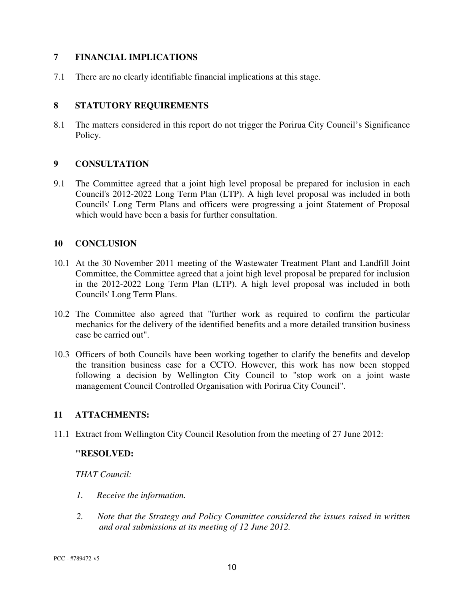#### **7 FINANCIAL IMPLICATIONS**

7.1 There are no clearly identifiable financial implications at this stage.

#### **8 STATUTORY REQUIREMENTS**

8.1 The matters considered in this report do not trigger the Porirua City Council's Significance Policy.

#### **9 CONSULTATION**

9.1 The Committee agreed that a joint high level proposal be prepared for inclusion in each Council's 2012-2022 Long Term Plan (LTP). A high level proposal was included in both Councils' Long Term Plans and officers were progressing a joint Statement of Proposal which would have been a basis for further consultation.

#### **10 CONCLUSION**

- 10.1 At the 30 November 2011 meeting of the Wastewater Treatment Plant and Landfill Joint Committee, the Committee agreed that a joint high level proposal be prepared for inclusion in the 2012-2022 Long Term Plan (LTP). A high level proposal was included in both Councils' Long Term Plans.
- 10.2 The Committee also agreed that "further work as required to confirm the particular mechanics for the delivery of the identified benefits and a more detailed transition business case be carried out".
- 10.3 Officers of both Councils have been working together to clarify the benefits and develop the transition business case for a CCTO. However, this work has now been stopped following a decision by Wellington City Council to "stop work on a joint waste management Council Controlled Organisation with Porirua City Council".

#### **11 ATTACHMENTS:**

11.1 Extract from Wellington City Council Resolution from the meeting of 27 June 2012:

#### **"RESOLVED:**

*THAT Council:* 

- *1. Receive the information.*
- *2. Note that the Strategy and Policy Committee considered the issues raised in written and oral submissions at its meeting of 12 June 2012.*